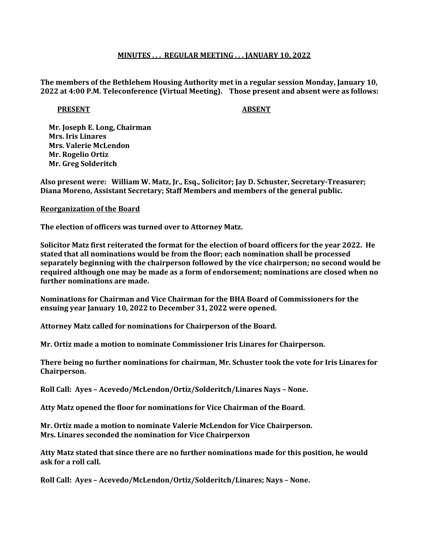## MINUTES . . . REGULAR MEETING . . . JANUARY 10, 2022

The members of the Bethlehem Housing Authority met in a regular session Monday, January 10, 2022 at 4:00 P.M. Teleconference (Virtual Meeting). Those present and absent were as follows:

## PRESENT ABSENT

 Mr. Joseph E. Long, Chairman Mrs. Iris Linares Mrs. Valerie McLendon Mr. Rogelio Ortiz Mr. Greg Solderitch

Also present were: William W. Matz, Jr., Esq., Solicitor; Jay D. Schuster, Secretary-Treasurer; Diana Moreno, Assistant Secretary; Staff Members and members of the general public.

## Reorganization of the Board

The election of officers was turned over to Attorney Matz.

Solicitor Matz first reiterated the format for the election of board officers for the year 2022. He stated that all nominations would be from the floor; each nomination shall be processed separately beginning with the chairperson followed by the vice chairperson; no second would be required although one may be made as a form of endorsement; nominations are closed when no further nominations are made.

Nominations for Chairman and Vice Chairman for the BHA Board of Commissioners for the ensuing year January 10, 2022 to December 31, 2022 were opened.

Attorney Matz called for nominations for Chairperson of the Board.

Mr. Ortiz made a motion to nominate Commissioner Iris Linares for Chairperson.

There being no further nominations for chairman, Mr. Schuster took the vote for Iris Linares for Chairperson.

Roll Call: Ayes – Acevedo/McLendon/Ortiz/Solderitch/Linares Nays – None.

Atty Matz opened the floor for nominations for Vice Chairman of the Board.

Mr. Ortiz made a motion to nominate Valerie McLendon for Vice Chairperson. Mrs. Linares seconded the nomination for Vice Chairperson

Atty Matz stated that since there are no further nominations made for this position, he would ask for a roll call.

Roll Call: Ayes – Acevedo/McLendon/Ortiz/Solderitch/Linares; Nays – None.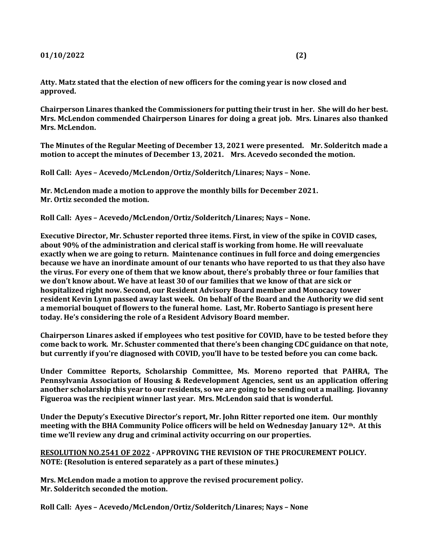Atty. Matz stated that the election of new officers for the coming year is now closed and approved.

Chairperson Linares thanked the Commissioners for putting their trust in her. She will do her best. Mrs. McLendon commended Chairperson Linares for doing a great job. Mrs. Linares also thanked Mrs. McLendon.

The Minutes of the Regular Meeting of December 13, 2021 were presented. Mr. Solderitch made a motion to accept the minutes of December 13, 2021. Mrs. Acevedo seconded the motion.

Roll Call: Ayes – Acevedo/McLendon/Ortiz/Solderitch/Linares; Nays – None.

Mr. McLendon made a motion to approve the monthly bills for December 2021. Mr. Ortiz seconded the motion.

Roll Call: Ayes – Acevedo/McLendon/Ortiz/Solderitch/Linares; Nays – None.

Executive Director, Mr. Schuster reported three items. First, in view of the spike in COVID cases, about 90% of the administration and clerical staff is working from home. He will reevaluate exactly when we are going to return. Maintenance continues in full force and doing emergencies because we have an inordinate amount of our tenants who have reported to us that they also have the virus. For every one of them that we know about, there's probably three or four families that we don't know about. We have at least 30 of our families that we know of that are sick or hospitalized right now. Second, our Resident Advisory Board member and Monocacy tower resident Kevin Lynn passed away last week. On behalf of the Board and the Authority we did sent a memorial bouquet of flowers to the funeral home. Last, Mr. Roberto Santiago is present here today. He's considering the role of a Resident Advisory Board member.

Chairperson Linares asked if employees who test positive for COVID, have to be tested before they come back to work. Mr. Schuster commented that there's been changing CDC guidance on that note, but currently if you're diagnosed with COVID, you'll have to be tested before you can come back.

Under Committee Reports, Scholarship Committee, Ms. Moreno reported that PAHRA, The Pennsylvania Association of Housing & Redevelopment Agencies, sent us an application offering another scholarship this year to our residents, so we are going to be sending out a mailing. Jiovanny Figueroa was the recipient winner last year. Mrs. McLendon said that is wonderful.

Under the Deputy's Executive Director's report, Mr. John Ritter reported one item. Our monthly meeting with the BHA Community Police officers will be held on Wednesday January 12<sup>th</sup>. At this time we'll review any drug and criminal activity occurring on our properties.

RESOLUTION NO.2541 OF 2022 - APPROVING THE REVISION OF THE PROCUREMENT POLICY. NOTE: (Resolution is entered separately as a part of these minutes.)

Mrs. McLendon made a motion to approve the revised procurement policy. Mr. Solderitch seconded the motion.

Roll Call: Ayes – Acevedo/McLendon/Ortiz/Solderitch/Linares; Nays – None